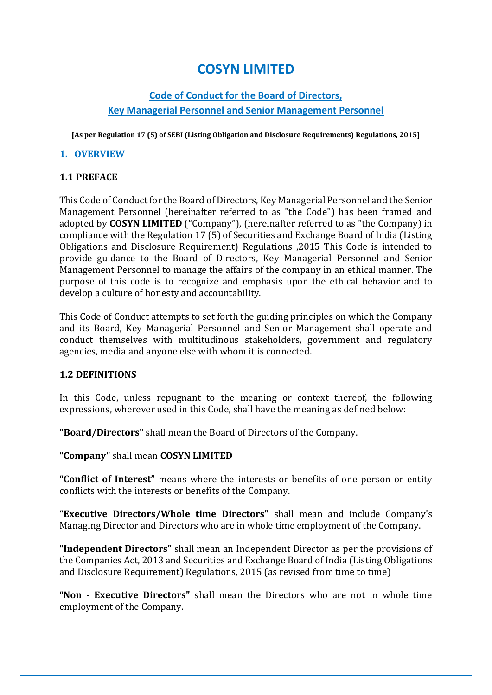# **COSYN LIMITED**

# **Code of Conduct for the Board of Directors, Key Managerial Personnel and Senior Management Personnel**

**[As per Regulation 17 (5) of SEBI (Listing Obligation and Disclosure Requirements) Regulations, 2015]**

#### **1. OVERVIEW**

#### **1.1 PREFACE**

This Code of Conduct for the Board of Directors, Key Managerial Personnel and the Senior Management Personnel (hereinafter referred to as "the Code") has been framed and adopted by **COSYN LIMITED** ("Company"), (hereinafter referred to as "the Company) in compliance with the Regulation 17 (5) of Securities and Exchange Board of India (Listing Obligations and Disclosure Requirement) Regulations ,2015 This Code is intended to provide guidance to the Board of Directors, Key Managerial Personnel and Senior Management Personnel to manage the affairs of the company in an ethical manner. The purpose of this code is to recognize and emphasis upon the ethical behavior and to develop a culture of honesty and accountability.

This Code of Conduct attempts to set forth the guiding principles on which the Company and its Board, Key Managerial Personnel and Senior Management shall operate and conduct themselves with multitudinous stakeholders, government and regulatory agencies, media and anyone else with whom it is connected.

#### **1.2 DEFINITIONS**

In this Code, unless repugnant to the meaning or context thereof, the following expressions, wherever used in this Code, shall have the meaning as defined below:

**"Board/Directors"** shall mean the Board of Directors of the Company.

**"Company"** shall mean **COSYN LIMITED**

**"Conflict of Interest"** means where the interests or benefits of one person or entity conflicts with the interests or benefits of the Company.

**"Executive Directors/Whole time Directors"** shall mean and include Company's Managing Director and Directors who are in whole time employment of the Company.

**"Independent Directors"** shall mean an Independent Director as per the provisions of the Companies Act, 2013 and Securities and Exchange Board of India (Listing Obligations and Disclosure Requirement) Regulations, 2015 (as revised from time to time)

**"Non - Executive Directors"** shall mean the Directors who are not in whole time employment of the Company.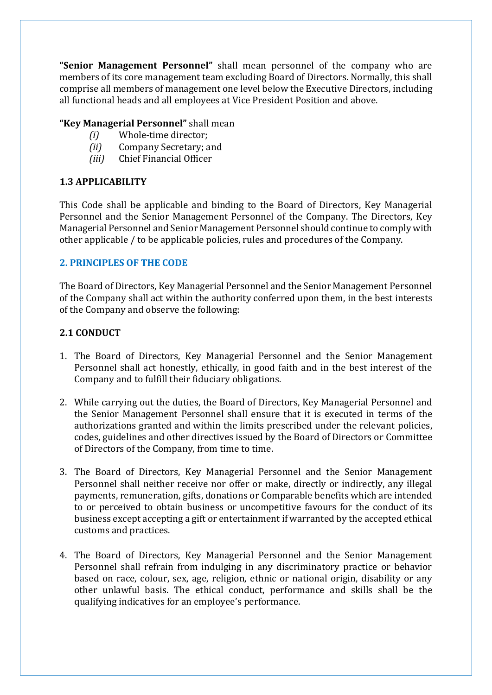**"Senior Management Personnel"** shall mean personnel of the company who are members of its core management team excluding Board of Directors. Normally, this shall comprise all members of management one level below the Executive Directors, including all functional heads and all employees at Vice President Position and above.

#### **"Key Managerial Personnel"** shall mean

- *(i)* Whole-time director;
- *(ii)* Company Secretary; and
- *(iii)* Chief Financial Officer

#### **1.3 APPLICABILITY**

This Code shall be applicable and binding to the Board of Directors, Key Managerial Personnel and the Senior Management Personnel of the Company. The Directors, Key Managerial Personnel and Senior Management Personnel should continue to comply with other applicable / to be applicable policies, rules and procedures of the Company.

#### **2. PRINCIPLES OF THE CODE**

The Board of Directors, Key Managerial Personnel and the Senior Management Personnel of the Company shall act within the authority conferred upon them, in the best interests of the Company and observe the following:

#### **2.1 CONDUCT**

- 1. The Board of Directors, Key Managerial Personnel and the Senior Management Personnel shall act honestly, ethically, in good faith and in the best interest of the Company and to fulfill their fiduciary obligations.
- 2. While carrying out the duties, the Board of Directors, Key Managerial Personnel and the Senior Management Personnel shall ensure that it is executed in terms of the authorizations granted and within the limits prescribed under the relevant policies, codes, guidelines and other directives issued by the Board of Directors or Committee of Directors of the Company, from time to time.
- 3. The Board of Directors, Key Managerial Personnel and the Senior Management Personnel shall neither receive nor offer or make, directly or indirectly, any illegal payments, remuneration, gifts, donations or Comparable benefits which are intended to or perceived to obtain business or uncompetitive favours for the conduct of its business except accepting a gift or entertainment if warranted by the accepted ethical customs and practices.
- 4. The Board of Directors, Key Managerial Personnel and the Senior Management Personnel shall refrain from indulging in any discriminatory practice or behavior based on race, colour, sex, age, religion, ethnic or national origin, disability or any other unlawful basis. The ethical conduct, performance and skills shall be the qualifying indicatives for an employee's performance.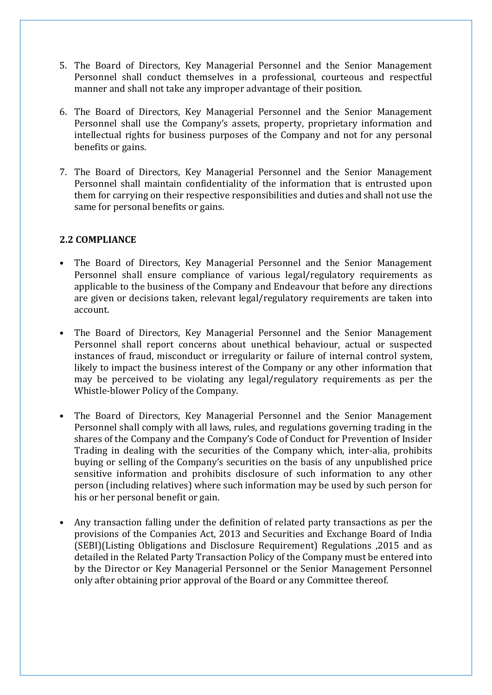- 5. The Board of Directors, Key Managerial Personnel and the Senior Management Personnel shall conduct themselves in a professional, courteous and respectful manner and shall not take any improper advantage of their position.
- 6. The Board of Directors, Key Managerial Personnel and the Senior Management Personnel shall use the Company's assets, property, proprietary information and intellectual rights for business purposes of the Company and not for any personal benefits or gains.
- 7. The Board of Directors, Key Managerial Personnel and the Senior Management Personnel shall maintain confidentiality of the information that is entrusted upon them for carrying on their respective responsibilities and duties and shall not use the same for personal benefits or gains.

## **2.2 COMPLIANCE**

- The Board of Directors, Key Managerial Personnel and the Senior Management Personnel shall ensure compliance of various legal/regulatory requirements as applicable to the business of the Company and Endeavour that before any directions are given or decisions taken, relevant legal/regulatory requirements are taken into account.
- The Board of Directors, Key Managerial Personnel and the Senior Management Personnel shall report concerns about unethical behaviour, actual or suspected instances of fraud, misconduct or irregularity or failure of internal control system, likely to impact the business interest of the Company or any other information that may be perceived to be violating any legal/regulatory requirements as per the Whistle-blower Policy of the Company.
- The Board of Directors, Key Managerial Personnel and the Senior Management Personnel shall comply with all laws, rules, and regulations governing trading in the shares of the Company and the Company's Code of Conduct for Prevention of Insider Trading in dealing with the securities of the Company which, inter-alia, prohibits buying or selling of the Company's securities on the basis of any unpublished price sensitive information and prohibits disclosure of such information to any other person (including relatives) where such information may be used by such person for his or her personal benefit or gain.
- Any transaction falling under the definition of related party transactions as per the provisions of the Companies Act, 2013 and Securities and Exchange Board of India (SEBI)(Listing Obligations and Disclosure Requirement) Regulations ,2015 and as detailed in the Related Party Transaction Policy of the Company must be entered into by the Director or Key Managerial Personnel or the Senior Management Personnel only after obtaining prior approval of the Board or any Committee thereof.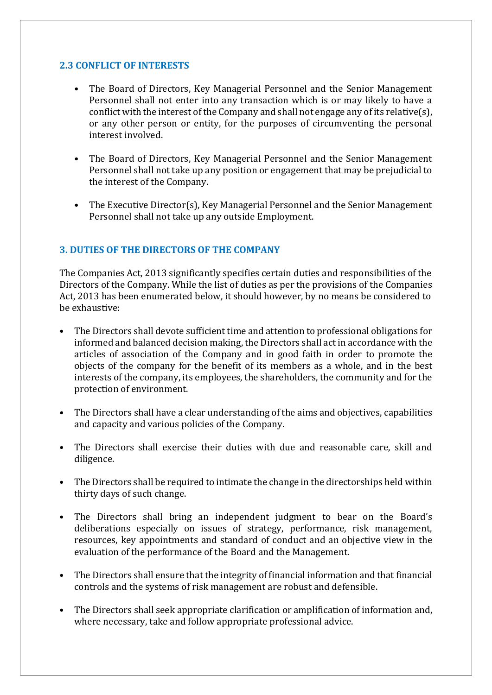#### **2.3 CONFLICT OF INTERESTS**

- The Board of Directors, Key Managerial Personnel and the Senior Management Personnel shall not enter into any transaction which is or may likely to have a conflict with the interest of the Company and shall not engage any of its relative(s), or any other person or entity, for the purposes of circumventing the personal interest involved.
- The Board of Directors, Key Managerial Personnel and the Senior Management Personnel shall not take up any position or engagement that may be prejudicial to the interest of the Company.
- The Executive Director(s), Key Managerial Personnel and the Senior Management Personnel shall not take up any outside Employment.

## **3. DUTIES OF THE DIRECTORS OF THE COMPANY**

The Companies Act, 2013 significantly specifies certain duties and responsibilities of the Directors of the Company. While the list of duties as per the provisions of the Companies Act, 2013 has been enumerated below, it should however, by no means be considered to be exhaustive:

- The Directors shall devote sufficient time and attention to professional obligations for informed and balanced decision making, the Directors shall act in accordance with the articles of association of the Company and in good faith in order to promote the objects of the company for the benefit of its members as a whole, and in the best interests of the company, its employees, the shareholders, the community and for the protection of environment.
- The Directors shall have a clear understanding of the aims and objectives, capabilities and capacity and various policies of the Company.
- The Directors shall exercise their duties with due and reasonable care, skill and diligence.
- The Directors shall be required to intimate the change in the directorships held within thirty days of such change.
- The Directors shall bring an independent judgment to bear on the Board's deliberations especially on issues of strategy, performance, risk management, resources, key appointments and standard of conduct and an objective view in the evaluation of the performance of the Board and the Management.
- The Directors shall ensure that the integrity of financial information and that financial controls and the systems of risk management are robust and defensible.
- The Directors shall seek appropriate clarification or amplification of information and, where necessary, take and follow appropriate professional advice.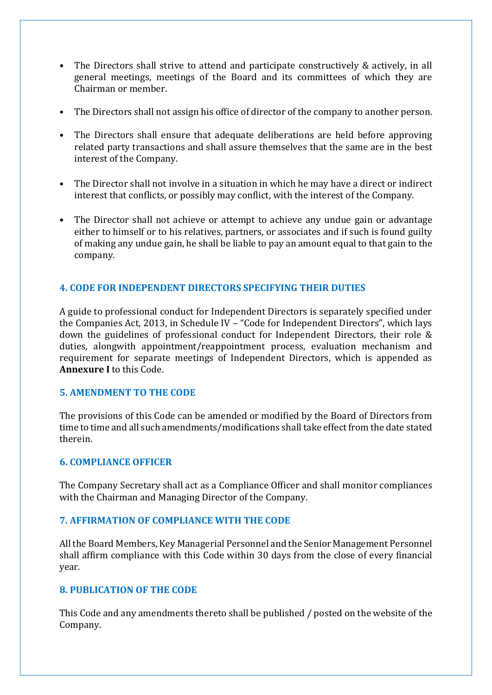- The Directors shall strive to attend and participate constructively & actively, in all general meetings, meetings of the Board and its committees of which they are Chairman or member.
- The Directors shall not assign his office of director of the company to another person.
- The Directors shall ensure that adequate deliberations are held before approving related party transactions and shall assure themselves that the same are in the best interest of the Company.
- The Director shall not involve in a situation in which he may have a direct or indirect interest that conflicts, or possibly may conflict, with the interest of the Company.
- The Director shall not achieve or attempt to achieve any undue gain or advantage either to himself or to his relatives, partners, or associates and if such is found guilty of making any undue gain, he shall be liable to pay an amount equal to that gain to the company.

#### **4. CODE FOR INDEPENDENT DIRECTORS SPECIFYING THEIR DUTIES**

A guide to professional conduct for Independent Directors is separately specified under the Companies Act, 2013, in Schedule IV – "Code for Independent Directors", which lays down the guidelines of professional conduct for Independent Directors, their role & duties, alongwith appointment/reappointment process, evaluation mechanism and requirement for separate meetings of Independent Directors, which is appended as **Annexure I** to this Code.

#### **5. AMENDMENT TO THE CODE**

The provisions of this Code can be amended or modified by the Board of Directors from time to time and all such amendments/modifications shall take effect from the date stated therein.

#### **6. COMPLIANCE OFFICER**

The Company Secretary shall act as a Compliance Officer and shall monitor compliances with the Chairman and Managing Director of the Company.

#### **7. AFFIRMATION OF COMPLIANCE WITH THE CODE**

All the Board Members, Key Managerial Personnel and the Senior Management Personnel shall affirm compliance with this Code within 30 days from the close of every financial year.

#### **8. PUBLICATION OF THE CODE**

This Code and any amendments thereto shall be published / posted on the website of the Company.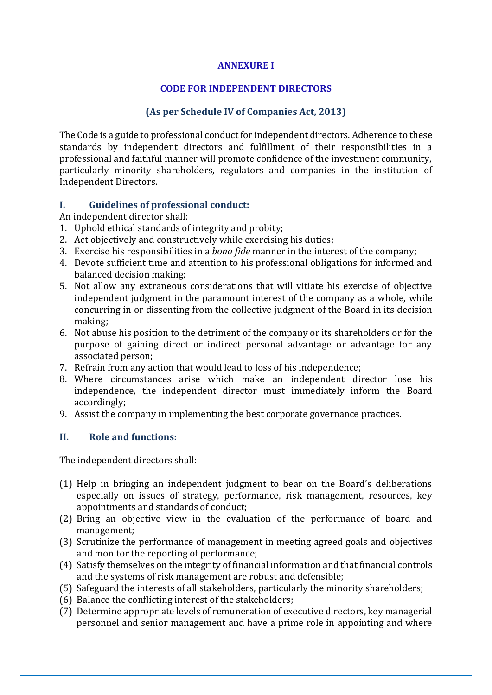## **ANNEXURE I**

## **CODE FOR INDEPENDENT DIRECTORS**

## **(As per Schedule IV of Companies Act, 2013)**

The Code is a guide to professional conduct for independent directors. Adherence to these standards by independent directors and fulfillment of their responsibilities in a professional and faithful manner will promote confidence of the investment community, particularly minority shareholders, regulators and companies in the institution of Independent Directors.

#### **I. Guidelines of professional conduct:**

An independent director shall:

- 1. Uphold ethical standards of integrity and probity;
- 2. Act objectively and constructively while exercising his duties;
- 3. Exercise his responsibilities in a *bona fide* manner in the interest of the company;
- 4. Devote sufficient time and attention to his professional obligations for informed and balanced decision making;
- 5. Not allow any extraneous considerations that will vitiate his exercise of objective independent judgment in the paramount interest of the company as a whole, while concurring in or dissenting from the collective judgment of the Board in its decision making;
- 6. Not abuse his position to the detriment of the company or its shareholders or for the purpose of gaining direct or indirect personal advantage or advantage for any associated person;
- 7. Refrain from any action that would lead to loss of his independence;
- 8. Where circumstances arise which make an independent director lose his independence, the independent director must immediately inform the Board accordingly;
- 9. Assist the company in implementing the best corporate governance practices.

## **II. Role and functions:**

The independent directors shall:

- (1) Help in bringing an independent judgment to bear on the Board's deliberations especially on issues of strategy, performance, risk management, resources, key appointments and standards of conduct;
- (2) Bring an objective view in the evaluation of the performance of board and management;
- (3) Scrutinize the performance of management in meeting agreed goals and objectives and monitor the reporting of performance;
- (4) Satisfy themselves on the integrity of financial information and that financial controls and the systems of risk management are robust and defensible;
- (5) Safeguard the interests of all stakeholders, particularly the minority shareholders;
- (6) Balance the conflicting interest of the stakeholders;
- (7) Determine appropriate levels of remuneration of executive directors, key managerial personnel and senior management and have a prime role in appointing and where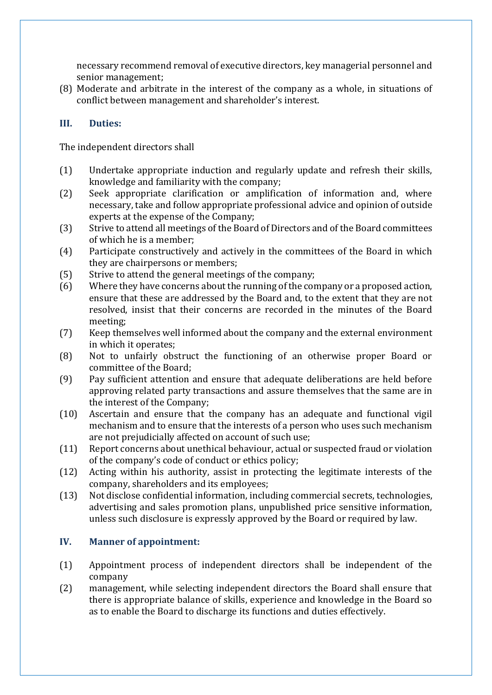necessary recommend removal of executive directors, key managerial personnel and senior management;

(8) Moderate and arbitrate in the interest of the company as a whole, in situations of conflict between management and shareholder's interest.

## **III. Duties:**

The independent directors shall

- (1) Undertake appropriate induction and regularly update and refresh their skills, knowledge and familiarity with the company;
- (2) Seek appropriate clarification or amplification of information and, where necessary, take and follow appropriate professional advice and opinion of outside experts at the expense of the Company;
- (3) Strive to attend all meetings of the Board of Directors and of the Board committees of which he is a member;
- (4) Participate constructively and actively in the committees of the Board in which they are chairpersons or members;
- (5) Strive to attend the general meetings of the company;
- (6) Where they have concerns about the running of the company or a proposed action, ensure that these are addressed by the Board and, to the extent that they are not resolved, insist that their concerns are recorded in the minutes of the Board meeting;
- (7) Keep themselves well informed about the company and the external environment in which it operates;
- (8) Not to unfairly obstruct the functioning of an otherwise proper Board or committee of the Board;
- (9) Pay sufficient attention and ensure that adequate deliberations are held before approving related party transactions and assure themselves that the same are in the interest of the Company;
- (10) Ascertain and ensure that the company has an adequate and functional vigil mechanism and to ensure that the interests of a person who uses such mechanism are not prejudicially affected on account of such use;
- (11) Report concerns about unethical behaviour, actual or suspected fraud or violation of the company's code of conduct or ethics policy;
- (12) Acting within his authority, assist in protecting the legitimate interests of the company, shareholders and its employees;
- (13) Not disclose confidential information, including commercial secrets, technologies, advertising and sales promotion plans, unpublished price sensitive information, unless such disclosure is expressly approved by the Board or required by law.

## **IV. Manner of appointment:**

- (1) Appointment process of independent directors shall be independent of the company
- (2) management, while selecting independent directors the Board shall ensure that there is appropriate balance of skills, experience and knowledge in the Board so as to enable the Board to discharge its functions and duties effectively.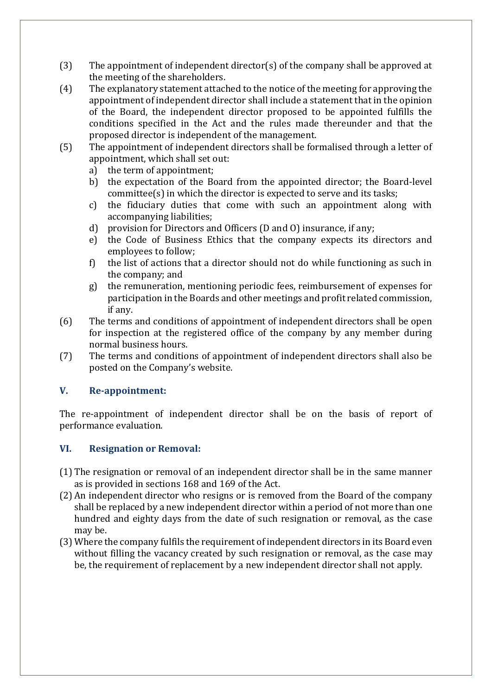- (3) The appointment of independent director(s) of the company shall be approved at the meeting of the shareholders.
- (4) The explanatory statement attached to the notice of the meeting for approving the appointment of independent director shall include a statement that in the opinion of the Board, the independent director proposed to be appointed fulfills the conditions specified in the Act and the rules made thereunder and that the proposed director is independent of the management.
- (5) The appointment of independent directors shall be formalised through a letter of appointment, which shall set out:
	- a) the term of appointment;
	- b) the expectation of the Board from the appointed director; the Board-level committee(s) in which the director is expected to serve and its tasks;
	- c) the fiduciary duties that come with such an appointment along with accompanying liabilities;
	- d) provision for Directors and Officers (D and O) insurance, if any;
	- e) the Code of Business Ethics that the company expects its directors and employees to follow;
	- f) the list of actions that a director should not do while functioning as such in the company; and
	- g) the remuneration, mentioning periodic fees, reimbursement of expenses for participation in the Boards and other meetings and profit related commission, if any.
- (6) The terms and conditions of appointment of independent directors shall be open for inspection at the registered office of the company by any member during normal business hours.
- (7) The terms and conditions of appointment of independent directors shall also be posted on the Company's website.

#### **V. Re-appointment:**

The re-appointment of independent director shall be on the basis of report of performance evaluation.

#### **VI. Resignation or Removal:**

- (1) The resignation or removal of an independent director shall be in the same manner as is provided in sections 168 and 169 of the Act.
- (2) An independent director who resigns or is removed from the Board of the company shall be replaced by a new independent director within a period of not more than one hundred and eighty days from the date of such resignation or removal, as the case may be.
- (3) Where the company fulfils the requirement of independent directors in its Board even without filling the vacancy created by such resignation or removal, as the case may be, the requirement of replacement by a new independent director shall not apply.